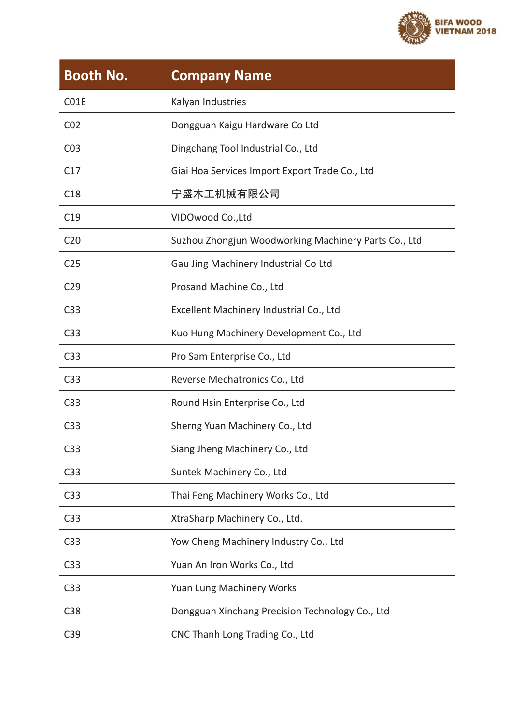

| <b>Booth No.</b> | <b>Company Name</b>                                  |
|------------------|------------------------------------------------------|
| C01E             | Kalyan Industries                                    |
| CO <sub>2</sub>  | Dongguan Kaigu Hardware Co Ltd                       |
| C <sub>03</sub>  | Dingchang Tool Industrial Co., Ltd                   |
| C <sub>17</sub>  | Giai Hoa Services Import Export Trade Co., Ltd       |
| C <sub>18</sub>  | 宁盛木工机械有限公司                                           |
| C <sub>19</sub>  | VIDOwood Co., Ltd                                    |
| C <sub>20</sub>  | Suzhou Zhongjun Woodworking Machinery Parts Co., Ltd |
| C <sub>25</sub>  | Gau Jing Machinery Industrial Co Ltd                 |
| C <sub>29</sub>  | Prosand Machine Co., Ltd                             |
| C33              | Excellent Machinery Industrial Co., Ltd              |
| C33              | Kuo Hung Machinery Development Co., Ltd              |
| C33              | Pro Sam Enterprise Co., Ltd                          |
| C33              | Reverse Mechatronics Co., Ltd                        |
| C33              | Round Hsin Enterprise Co., Ltd                       |
| C <sub>33</sub>  | Sherng Yuan Machinery Co., Ltd                       |
| C33              | Siang Jheng Machinery Co., Ltd                       |
| C33              | Suntek Machinery Co., Ltd                            |
| C <sub>3</sub> 3 | Thai Feng Machinery Works Co., Ltd                   |
| C33              | XtraSharp Machinery Co., Ltd.                        |
| C <sub>33</sub>  | Yow Cheng Machinery Industry Co., Ltd                |
| C <sub>33</sub>  | Yuan An Iron Works Co., Ltd                          |
| C <sub>33</sub>  | Yuan Lung Machinery Works                            |
| C38              | Dongguan Xinchang Precision Technology Co., Ltd      |
| C39              | CNC Thanh Long Trading Co., Ltd                      |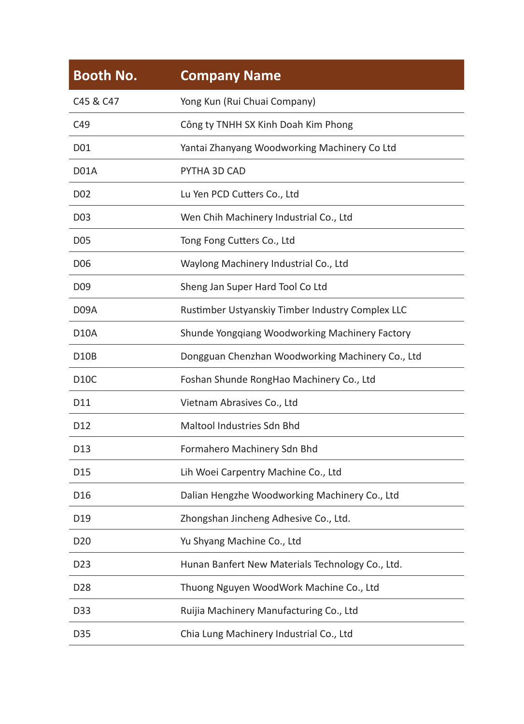| <b>Booth No.</b> | <b>Company Name</b>                              |
|------------------|--------------------------------------------------|
| C45 & C47        | Yong Kun (Rui Chuai Company)                     |
| C <sub>49</sub>  | Công ty TNHH SX Kinh Doah Kim Phong              |
| D01              | Yantai Zhanyang Woodworking Machinery Co Ltd     |
| D01A             | PYTHA 3D CAD                                     |
| D02              | Lu Yen PCD Cutters Co., Ltd                      |
| D03              | Wen Chih Machinery Industrial Co., Ltd           |
| <b>D05</b>       | Tong Fong Cutters Co., Ltd                       |
| D06              | Waylong Machinery Industrial Co., Ltd            |
| D09              | Sheng Jan Super Hard Tool Co Ltd                 |
| D09A             | Rustimber Ustyanskiy Timber Industry Complex LLC |
| D10A             | Shunde Yongqiang Woodworking Machinery Factory   |
| D10B             | Dongguan Chenzhan Woodworking Machinery Co., Ltd |
| D10C             | Foshan Shunde RongHao Machinery Co., Ltd         |
| D11              | Vietnam Abrasives Co., Ltd                       |
| D12              | Maltool Industries Sdn Bhd                       |
| D13              | Formahero Machinery Sdn Bhd                      |
| D15              | Lih Woei Carpentry Machine Co., Ltd              |
| D16              | Dalian Hengzhe Woodworking Machinery Co., Ltd    |
| D <sub>19</sub>  | Zhongshan Jincheng Adhesive Co., Ltd.            |
| D20              | Yu Shyang Machine Co., Ltd                       |
| D <sub>23</sub>  | Hunan Banfert New Materials Technology Co., Ltd. |
| D <sub>28</sub>  | Thuong Nguyen WoodWork Machine Co., Ltd          |
| D33              | Ruijia Machinery Manufacturing Co., Ltd          |
| D35              | Chia Lung Machinery Industrial Co., Ltd          |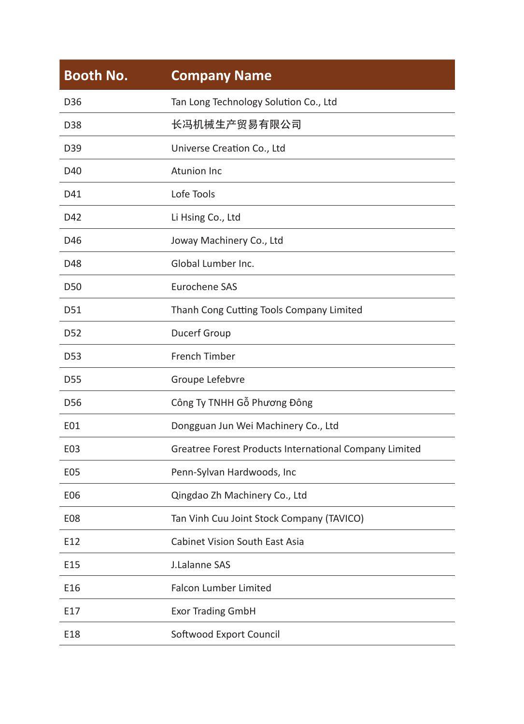| <b>Booth No.</b> | <b>Company Name</b>                                    |
|------------------|--------------------------------------------------------|
| D36              | Tan Long Technology Solution Co., Ltd                  |
| D38              | 长冯机械生产贸易有限公司                                           |
| D39              | Universe Creation Co., Ltd                             |
| D40              | <b>Atunion Inc</b>                                     |
| D41              | Lofe Tools                                             |
| D42              | Li Hsing Co., Ltd                                      |
| D46              | Joway Machinery Co., Ltd                               |
| D48              | Global Lumber Inc.                                     |
| D <sub>50</sub>  | <b>Furochene SAS</b>                                   |
| D51              | Thanh Cong Cutting Tools Company Limited               |
| D <sub>52</sub>  | Ducerf Group                                           |
| D <sub>53</sub>  | French Timber                                          |
| D <sub>55</sub>  | Groupe Lefebvre                                        |
| D <sub>56</sub>  | Công Ty TNHH Gỗ Phương Đông                            |
| E01              | Dongguan Jun Wei Machinery Co., Ltd                    |
| E03              | Greatree Forest Products International Company Limited |
| E05              | Penn-Sylvan Hardwoods, Inc                             |
| E06              | Qingdao Zh Machinery Co., Ltd                          |
| E08              | Tan Vinh Cuu Joint Stock Company (TAVICO)              |
| E12              | <b>Cabinet Vision South East Asia</b>                  |
| E15              | J.Lalanne SAS                                          |
| E16              | <b>Falcon Lumber Limited</b>                           |
| E17              | <b>Exor Trading GmbH</b>                               |
| E18              | Softwood Export Council                                |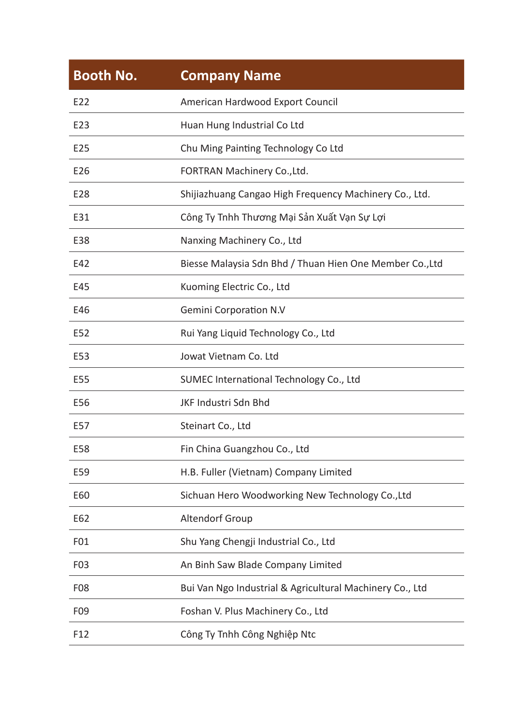| <b>Company Name</b>                                      |
|----------------------------------------------------------|
| American Hardwood Export Council                         |
| Huan Hung Industrial Co Ltd                              |
| Chu Ming Painting Technology Co Ltd                      |
| FORTRAN Machinery Co., Ltd.                              |
| Shijiazhuang Cangao High Frequency Machinery Co., Ltd.   |
| Công Ty Tnhh Thương Mại Sản Xuất Vạn Sự Lợi              |
| Nanxing Machinery Co., Ltd                               |
| Biesse Malaysia Sdn Bhd / Thuan Hien One Member Co., Ltd |
| Kuoming Electric Co., Ltd                                |
| <b>Gemini Corporation N.V</b>                            |
| Rui Yang Liquid Technology Co., Ltd                      |
| Jowat Vietnam Co. Ltd                                    |
| SUMEC International Technology Co., Ltd                  |
| JKF Industri Sdn Bhd                                     |
| Steinart Co., Ltd                                        |
| Fin China Guangzhou Co., Ltd                             |
| H.B. Fuller (Vietnam) Company Limited                    |
| Sichuan Hero Woodworking New Technology Co., Ltd         |
| Altendorf Group                                          |
| Shu Yang Chengji Industrial Co., Ltd                     |
| An Binh Saw Blade Company Limited                        |
| Bui Van Ngo Industrial & Agricultural Machinery Co., Ltd |
| Foshan V. Plus Machinery Co., Ltd                        |
| Công Ty Tnhh Công Nghiệp Ntc                             |
|                                                          |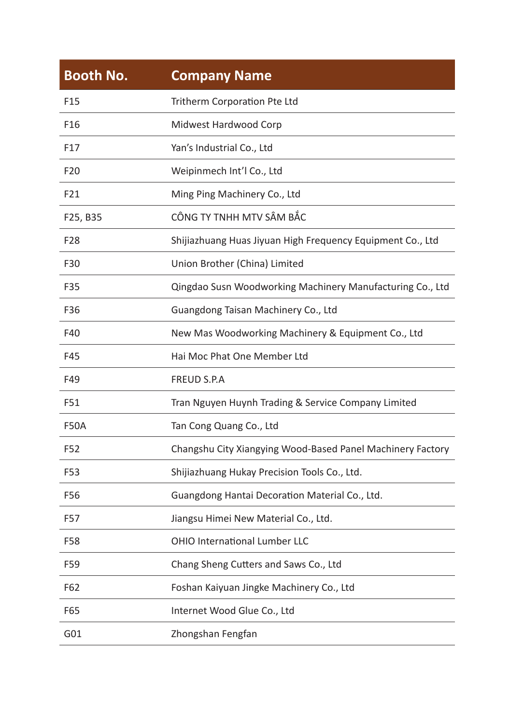| <b>Booth No.</b> | <b>Company Name</b>                                        |
|------------------|------------------------------------------------------------|
| F <sub>15</sub>  | Tritherm Corporation Pte Ltd                               |
| F <sub>16</sub>  | Midwest Hardwood Corp                                      |
| F <sub>17</sub>  | Yan's Industrial Co., Ltd                                  |
| F <sub>20</sub>  | Weipinmech Int'l Co., Ltd                                  |
| F21              | Ming Ping Machinery Co., Ltd                               |
| F25, B35         | CÔNG TY TNHH MTV SÂM BẮC                                   |
| F <sub>28</sub>  | Shijiazhuang Huas Jiyuan High Frequency Equipment Co., Ltd |
| F30              | Union Brother (China) Limited                              |
| F35              | Qingdao Susn Woodworking Machinery Manufacturing Co., Ltd  |
| F36              | Guangdong Taisan Machinery Co., Ltd                        |
| F40              | New Mas Woodworking Machinery & Equipment Co., Ltd         |
| F45              | Hai Moc Phat One Member Ltd                                |
| F49              | <b>FREUD S.P.A</b>                                         |
| F51              | Tran Nguyen Huynh Trading & Service Company Limited        |
| <b>F50A</b>      | Tan Cong Quang Co., Ltd                                    |
| F52              | Changshu City Xiangying Wood-Based Panel Machinery Factory |
| F53              | Shijiazhuang Hukay Precision Tools Co., Ltd.               |
| F56              | Guangdong Hantai Decoration Material Co., Ltd.             |
| F57              | Jiangsu Himei New Material Co., Ltd.                       |
| F58              | OHIO International Lumber LLC                              |
| F59              | Chang Sheng Cutters and Saws Co., Ltd                      |
| F62              | Foshan Kaiyuan Jingke Machinery Co., Ltd                   |
| F65              | Internet Wood Glue Co., Ltd                                |
| G01              | Zhongshan Fengfan                                          |